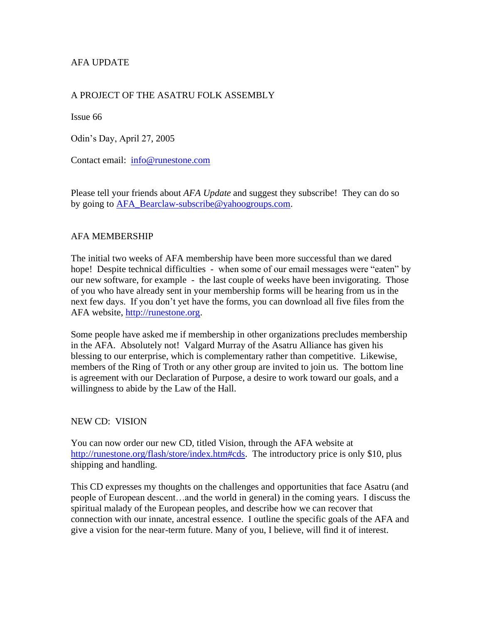# AFA UPDATE

## A PROJECT OF THE ASATRU FOLK ASSEMBLY

Issue 66

Odin's Day, April 27, 2005

Contact email: [info@runestone.com](mailto:info@runestone.com)

Please tell your friends about *AFA Update* and suggest they subscribe! They can do so by going to [AFA\\_Bearclaw-subscribe@yahoogroups.com.](mailto:AFA_Bearclaw-subscribe@yahoogroups.com)

#### AFA MEMBERSHIP

The initial two weeks of AFA membership have been more successful than we dared hope! Despite technical difficulties - when some of our email messages were "eaten" by our new software, for example - the last couple of weeks have been invigorating. Those of you who have already sent in your membership forms will be hearing from us in the next few days. If you don't yet have the forms, you can download all five files from the AFA website, [http://runestone.org.](http://runestone.org/)

Some people have asked me if membership in other organizations precludes membership in the AFA. Absolutely not! Valgard Murray of the Asatru Alliance has given his blessing to our enterprise, which is complementary rather than competitive. Likewise, members of the Ring of Troth or any other group are invited to join us. The bottom line is agreement with our Declaration of Purpose, a desire to work toward our goals, and a willingness to abide by the Law of the Hall.

#### NEW CD: VISION

You can now order our new CD, titled Vision, through the AFA website at [http://runestone.org/flash/store/index.htm#cds.](http://runestone.org/flash/store/index.htm#cds) The introductory price is only \$10, plus shipping and handling.

This CD expresses my thoughts on the challenges and opportunities that face Asatru (and people of European descent…and the world in general) in the coming years. I discuss the spiritual malady of the European peoples, and describe how we can recover that connection with our innate, ancestral essence. I outline the specific goals of the AFA and give a vision for the near-term future. Many of you, I believe, will find it of interest.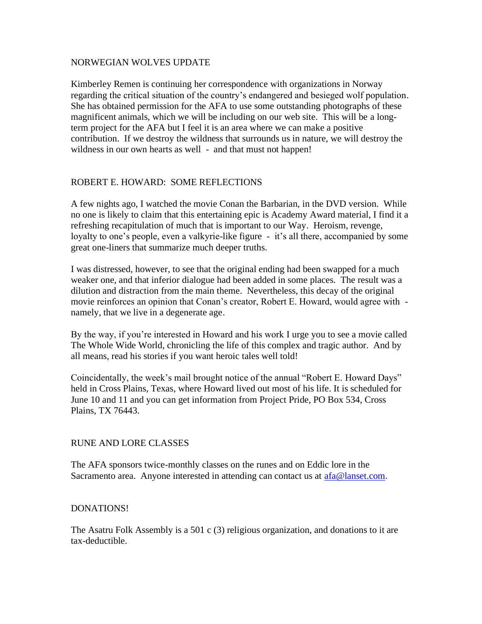#### NORWEGIAN WOLVES UPDATE

Kimberley Remen is continuing her correspondence with organizations in Norway regarding the critical situation of the country's endangered and besieged wolf population. She has obtained permission for the AFA to use some outstanding photographs of these magnificent animals, which we will be including on our web site. This will be a longterm project for the AFA but I feel it is an area where we can make a positive contribution. If we destroy the wildness that surrounds us in nature, we will destroy the wildness in our own hearts as well - and that must not happen!

#### ROBERT E. HOWARD: SOME REFLECTIONS

A few nights ago, I watched the movie Conan the Barbarian, in the DVD version. While no one is likely to claim that this entertaining epic is Academy Award material, I find it a refreshing recapitulation of much that is important to our Way. Heroism, revenge, loyalty to one's people, even a valkyrie-like figure - it's all there, accompanied by some great one-liners that summarize much deeper truths.

I was distressed, however, to see that the original ending had been swapped for a much weaker one, and that inferior dialogue had been added in some places. The result was a dilution and distraction from the main theme. Nevertheless, this decay of the original movie reinforces an opinion that Conan's creator, Robert E. Howard, would agree with namely, that we live in a degenerate age.

By the way, if you're interested in Howard and his work I urge you to see a movie called The Whole Wide World, chronicling the life of this complex and tragic author. And by all means, read his stories if you want heroic tales well told!

Coincidentally, the week's mail brought notice of the annual "Robert E. Howard Days" held in Cross Plains, Texas, where Howard lived out most of his life. It is scheduled for June 10 and 11 and you can get information from Project Pride, PO Box 534, Cross Plains, TX 76443.

#### RUNE AND LORE CLASSES

The AFA sponsors twice-monthly classes on the runes and on Eddic lore in the Sacramento area. Anyone interested in attending can contact us at  $afa@$  lanset.com.

#### DONATIONS!

The Asatru Folk Assembly is a 501 c (3) religious organization, and donations to it are tax-deductible.